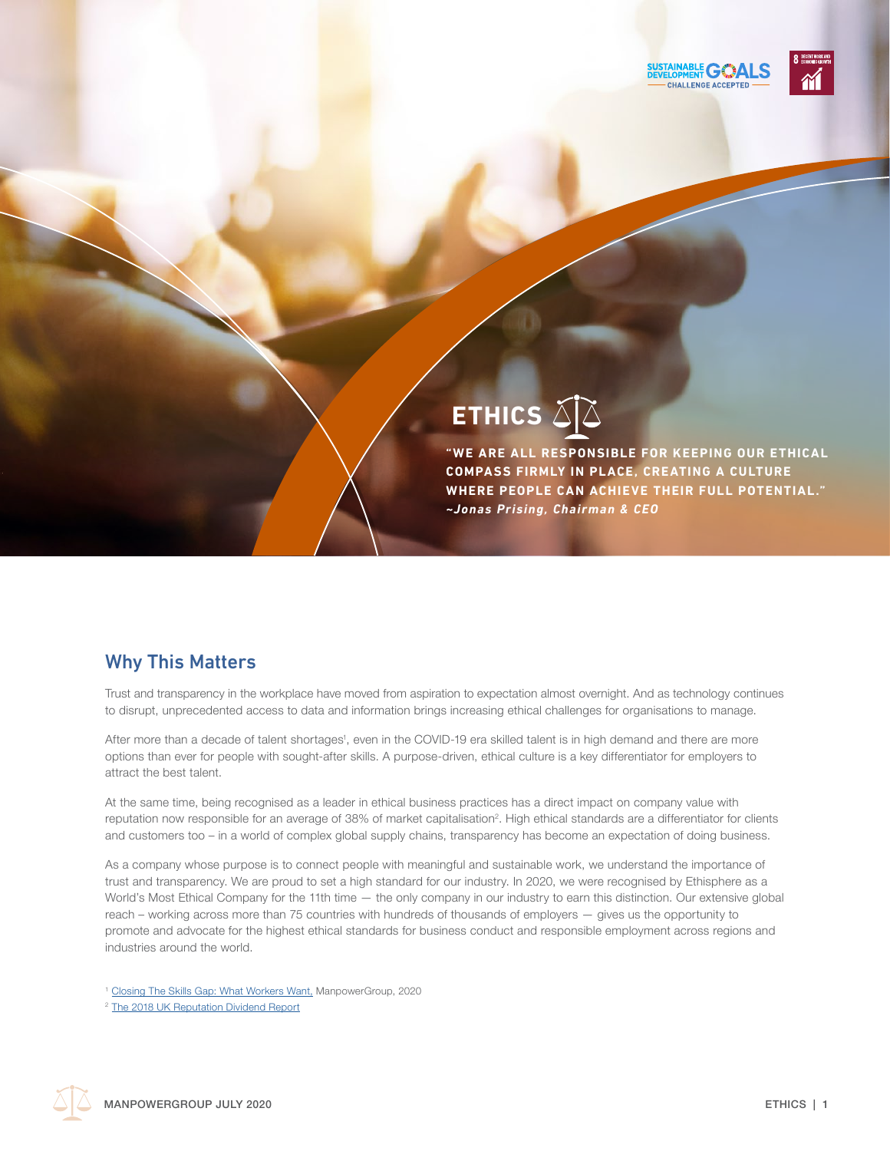



# **ETHICS**

**"WE ARE ALL RESPONSIBLE FOR KEEPING OUR ETHICAL COMPASS FIRMLY IN PL ACE, CREATING A CULTURE WHERE PEOPLE CAN ACHIEVE THEIR FULL POTENTIAL." ~***Jonas Prising, Chairman & CEO*

## Why This Matters

Trust and transparency in the workplace have moved from aspiration to expectation almost overnight. And as technology continues to disrupt, unprecedented access to data and information brings increasing ethical challenges for organisations to manage.

After more than a decade of talent shortages', even in the COVID-19 era skilled talent is in high demand and there are more options than ever for people with sought-after skills. A purpose-driven, ethical culture is a key differentiator for employers to attract the best talent.

At the same time, being recognised as a leader in ethical business practices has a direct impact on company value with reputation now responsible for an average of 38% of market capitalisation<sup>2</sup>. High ethical standards are a differentiator for clients and customers too – in a world of complex global supply chains, transparency has become an expectation of doing business.

As a company whose purpose is to connect people with meaningful and sustainable work, we understand the importance of trust and transparency. We are proud to set a high standard for our industry. In 2020, we were recognised by Ethisphere as a World's Most Ethical Company for the 11th time — the only company in our industry to earn this distinction. Our extensive global reach – working across more than 75 countries with hundreds of thousands of employers — gives us the opportunity to promote and advocate for the highest ethical standards for business conduct and responsible employment across regions and industries around the world.

<sup>&</sup>lt;sup>1</sup> [Closing The Skills Gap: What Workers Want,](https://go.manpowergroup.com/talent-shortage) ManpowerGroup, 2020

<sup>2</sup> [The 2018 UK Reputation Dividend Report](http://reputationdividend.com/files/6215/1939/6597/UK_2018_report_Final.pdf)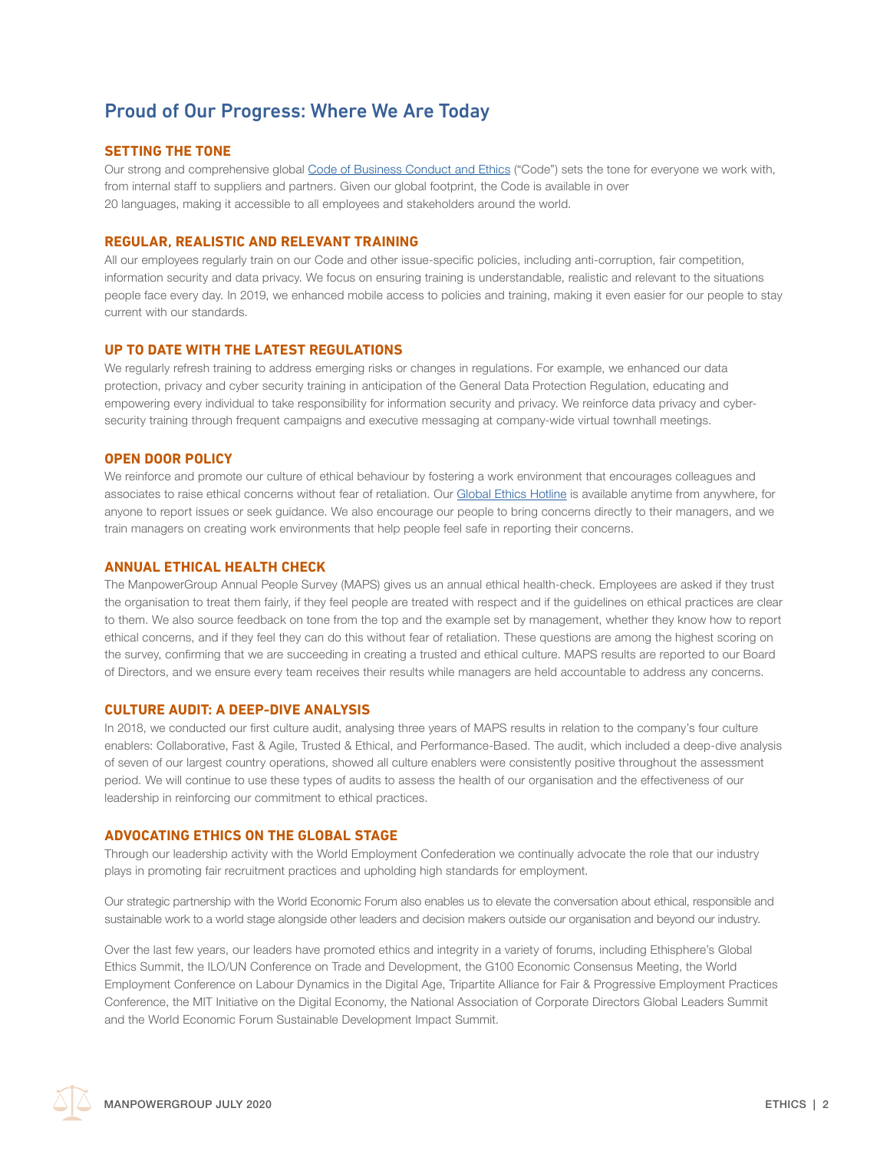## Proud of Our Progress: Where We Are Today

#### **SETTING THE TONE**

Our strong and comprehensive global [Code of Business Conduct and Ethics](https://www.manpowergroup.com/ethics/code-of-business-conduct-and-ethics) ("Code") sets the tone for everyone we work with, from internal staff to suppliers and partners. Given our global footprint, the Code is available in over 20 languages, making it accessible to all employees and stakeholders around the world.

#### **REGULAR, REALISTIC AND RELEVANT TRAINING**

All our employees regularly train on our Code and other issue-specific policies, including anti-corruption, fair competition, information security and data privacy. We focus on ensuring training is understandable, realistic and relevant to the situations people face every day. In 2019, we enhanced mobile access to policies and training, making it even easier for our people to stay current with our standards.

#### **UP TO DATE WITH THE LATEST REGULATIONS**

We regularly refresh training to address emerging risks or changes in regulations. For example, we enhanced our data protection, privacy and cyber security training in anticipation of the General Data Protection Regulation, educating and empowering every individual to take responsibility for information security and privacy. We reinforce data privacy and cybersecurity training through frequent campaigns and executive messaging at company-wide virtual townhall meetings.

#### **OPEN DOOR POLICY**

We reinforce and promote our culture of ethical behaviour by fostering a work environment that encourages colleagues and associates to raise ethical concerns without fear of retaliation. Our [Global Ethics Hotline](https://www.manpowergroup.com/ethics/business-ethics-hotline) is available anytime from anywhere, for anyone to report issues or seek guidance. We also encourage our people to bring concerns directly to their managers, and we train managers on creating work environments that help people feel safe in reporting their concerns.

#### **ANNUAL ETHICAL HEALTH CHECK**

The ManpowerGroup Annual People Survey (MAPS) gives us an annual ethical health-check. Employees are asked if they trust the organisation to treat them fairly, if they feel people are treated with respect and if the guidelines on ethical practices are clear to them. We also source feedback on tone from the top and the example set by management, whether they know how to report ethical concerns, and if they feel they can do this without fear of retaliation. These questions are among the highest scoring on the survey, confirming that we are succeeding in creating a trusted and ethical culture. MAPS results are reported to our Board of Directors, and we ensure every team receives their results while managers are held accountable to address any concerns.

#### **CULTURE AUDIT: A DEEP-DIVE ANALYSIS**

In 2018, we conducted our first culture audit, analysing three years of MAPS results in relation to the company's four culture enablers: Collaborative, Fast & Agile, Trusted & Ethical, and Performance-Based. The audit, which included a deep-dive analysis of seven of our largest country operations, showed all culture enablers were consistently positive throughout the assessment period. We will continue to use these types of audits to assess the health of our organisation and the effectiveness of our leadership in reinforcing our commitment to ethical practices.

#### **ADVOCATING ETHICS ON THE GLOBAL STAGE**

Through our leadership activity with the World Employment Confederation we continually advocate the role that our industry plays in promoting fair recruitment practices and upholding high standards for employment.

Our strategic partnership with the World Economic Forum also enables us to elevate the conversation about ethical, responsible and sustainable work to a world stage alongside other leaders and decision makers outside our organisation and beyond our industry.

Over the last few years, our leaders have promoted ethics and integrity in a variety of forums, including Ethisphere's Global Ethics Summit, the ILO/UN Conference on Trade and Development, the G100 Economic Consensus Meeting, the World Employment Conference on Labour Dynamics in the Digital Age, Tripartite Alliance for Fair & Progressive Employment Practices Conference, the MIT Initiative on the Digital Economy, the National Association of Corporate Directors Global Leaders Summit and the World Economic Forum Sustainable Development Impact Summit.